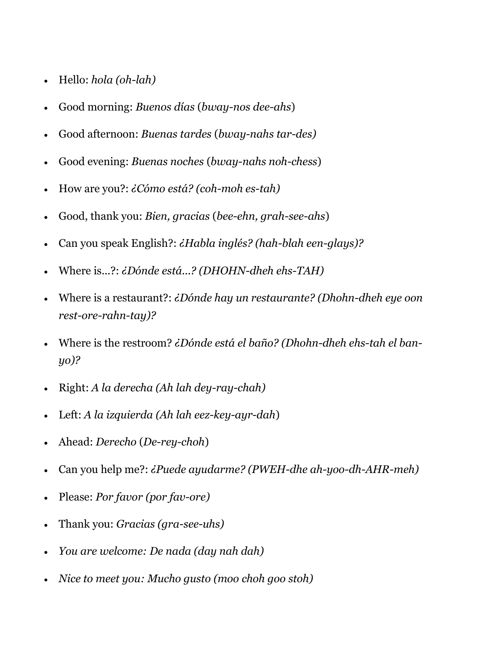- Hello: *hola (oh-lah)*
- Good morning: *Buenos días* (*bway-nos dee-ahs*)
- Good afternoon: *Buenas tardes* (*bway-nahs tar-des)*
- Good evening: *Buenas noches* (*bway-nahs noh-chess*)
- How are you?: *¿Cómo está? (coh-moh es-tah)*
- Good, thank you: *Bien, gracias* (*bee-ehn, grah-see-ahs*)
- Can you speak English?: *¿Habla inglés? (hah-blah een-glays)?*
- Where is...?: *¿Dónde está...? (DHOHN-dheh ehs-TAH)*
- Where is a restaurant?: *¿Dónde hay un restaurante? (Dhohn-dheh eye oon rest-ore-rahn-tay)?*
- Where is the restroom? *¿Dónde está el baño? (Dhohn-dheh ehs-tah el banyo)?*
- Right: *A la derecha (Ah lah dey-ray-chah)*
- Left: *A la izquierda (Ah lah eez-key-ayr-dah*)
- Ahead: *Derecho* (*De-rey-choh*)
- Can you help me?: *¿Puede ayudarme? (PWEH-dhe ah-yoo-dh-AHR-meh)*
- Please: *Por favor (por fav-ore)*
- Thank you: *Gracias (gra-see-uhs)*
- *You are welcome: De nada (day nah dah)*
- *Nice to meet you: Mucho gusto (moo choh goo stoh)*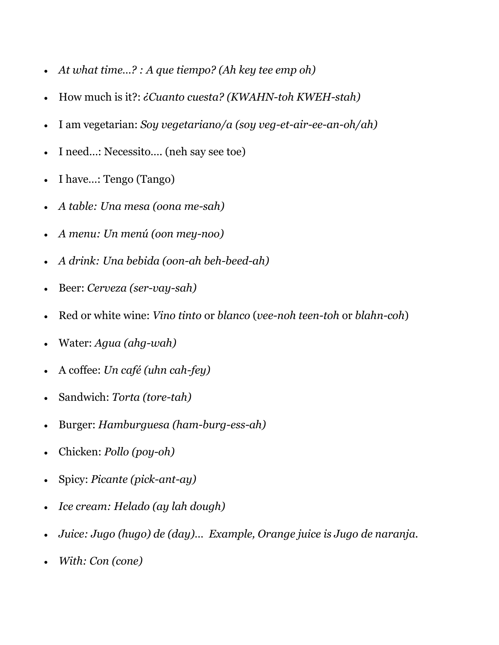- *At what time…? : A que tiempo? (Ah key tee emp oh)*
- How much is it?: *¿Cuanto cuesta? (KWAHN-toh KWEH-stah)*
- I am vegetarian: *Soy vegetariano/a (soy veg-et-air-ee-an-oh/ah)*
- I need…: Necessito…. (neh say see toe)
- I have…: Tengo (Tango)
- *A table: Una mesa (oona me-sah)*
- *A menu: Un menú (oon mey-noo)*
- *A drink: Una bebida (oon-ah beh-beed-ah)*
- Beer: *Cerveza (ser-vay-sah)*
- Red or white wine: *Vino tinto* or *blanco* (*vee-noh teen-toh* or *blahn-coh*)
- Water: *Agua (ahg-wah)*
- A coffee: *Un café (uhn cah-fey)*
- Sandwich: *Torta (tore-tah)*
- Burger: *Hamburguesa (ham-burg-ess-ah)*
- Chicken: *Pollo (poy-oh)*
- Spicy: *Picante (pick-ant-ay)*
- *Ice cream: Helado (ay lah dough)*
- *Juice: Jugo (hugo) de (day)… Example, Orange juice is Jugo de naranja.*
- *With: Con (cone)*